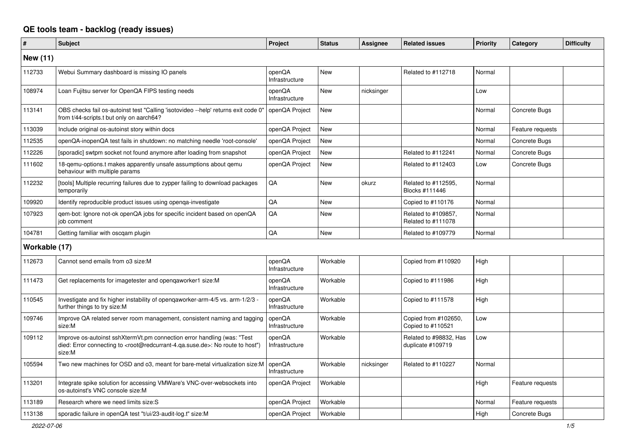## **QE tools team - backlog (ready issues)**

| #             | <b>Subject</b>                                                                                                                                                                                    | <b>Project</b>           | <b>Status</b> | <b>Assignee</b> | <b>Related issues</b>                       | Priority | Category         | <b>Difficulty</b> |
|---------------|---------------------------------------------------------------------------------------------------------------------------------------------------------------------------------------------------|--------------------------|---------------|-----------------|---------------------------------------------|----------|------------------|-------------------|
| New (11)      |                                                                                                                                                                                                   |                          |               |                 |                                             |          |                  |                   |
| 112733        | Webui Summary dashboard is missing IO panels                                                                                                                                                      | openQA<br>Infrastructure | <b>New</b>    |                 | Related to #112718                          | Normal   |                  |                   |
| 108974        | Loan Fujitsu server for OpenQA FIPS testing needs                                                                                                                                                 | openQA<br>Infrastructure | <b>New</b>    | nicksinger      |                                             | Low      |                  |                   |
| 113141        | OBS checks fail os-autoinst test "Calling 'isotovideo --help' returns exit code 0"<br>from t/44-scripts.t but only on aarch64?                                                                    | openQA Project           | New           |                 |                                             | Normal   | Concrete Bugs    |                   |
| 113039        | Include original os-autoinst story within docs                                                                                                                                                    | openQA Project           | New           |                 |                                             | Normal   | Feature requests |                   |
| 112535        | openQA-inopenQA test fails in shutdown: no matching needle 'root-console'                                                                                                                         | openQA Project           | <b>New</b>    |                 |                                             | Normal   | Concrete Bugs    |                   |
| 112226        | [sporadic] swtpm socket not found anymore after loading from snapshot                                                                                                                             | openQA Project           | New           |                 | Related to #112241                          | Normal   | Concrete Bugs    |                   |
| 111602        | 18-gemu-options.t makes apparently unsafe assumptions about gemu<br>behaviour with multiple params                                                                                                | openQA Project           | New           |                 | Related to #112403                          | Low      | Concrete Bugs    |                   |
| 112232        | [tools] Multiple recurring failures due to zypper failing to download packages<br>temporarily                                                                                                     | QA                       | <b>New</b>    | okurz           | Related to #112595.<br>Blocks #111446       | Normal   |                  |                   |
| 109920        | Identify reproducible product issues using openga-investigate                                                                                                                                     | QA                       | <b>New</b>    |                 | Copied to #110176                           | Normal   |                  |                   |
| 107923        | gem-bot: Ignore not-ok openQA jobs for specific incident based on openQA<br>job comment                                                                                                           | QA                       | New           |                 | Related to #109857,<br>Related to #111078   | Normal   |                  |                   |
| 104781        | Getting familiar with oscgam plugin                                                                                                                                                               | QA                       | <b>New</b>    |                 | Related to #109779                          | Normal   |                  |                   |
| Workable (17) |                                                                                                                                                                                                   |                          |               |                 |                                             |          |                  |                   |
| 112673        | Cannot send emails from o3 size:M                                                                                                                                                                 | openQA<br>Infrastructure | Workable      |                 | Copied from #110920                         | High     |                  |                   |
| 111473        | Get replacements for imagetester and opengaworker1 size:M                                                                                                                                         | openQA<br>Infrastructure | Workable      |                 | Copied to #111986                           | High     |                  |                   |
| 110545        | Investigate and fix higher instability of opengaworker-arm-4/5 vs. arm-1/2/3 -<br>further things to try size:M                                                                                    | openQA<br>Infrastructure | Workable      |                 | Copied to #111578                           | High     |                  |                   |
| 109746        | Improve QA related server room management, consistent naming and tagging<br>size:M                                                                                                                | openQA<br>Infrastructure | Workable      |                 | Copied from #102650,<br>Copied to #110521   | Low      |                  |                   |
| 109112        | Improve os-autoinst sshXtermVt.pm connection error handling (was: "Test<br>died: Error connecting to <root@redcurrant-4.ga.suse.de>: No route to host")<br/>size:M</root@redcurrant-4.ga.suse.de> | openQA<br>Infrastructure | Workable      |                 | Related to #98832, Has<br>duplicate #109719 | Low      |                  |                   |
| 105594        | Two new machines for OSD and o3, meant for bare-metal virtualization size:M                                                                                                                       | openQA<br>Infrastructure | Workable      | nicksinger      | Related to #110227                          | Normal   |                  |                   |
| 113201        | Integrate spike solution for accessing VMWare's VNC-over-websockets into<br>os-autoinst's VNC console size:M                                                                                      | openQA Project           | Workable      |                 |                                             | High     | Feature requests |                   |
| 113189        | Research where we need limits size:S                                                                                                                                                              | openQA Project           | Workable      |                 |                                             | Normal   | Feature requests |                   |
| 113138        | sporadic failure in openQA test "t/ui/23-audit-log.t" size:M                                                                                                                                      | openQA Project           | Workable      |                 |                                             | High     | Concrete Bugs    |                   |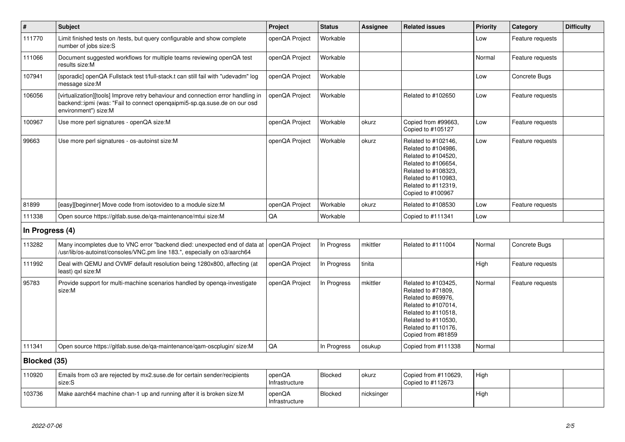| $\#$            | <b>Subject</b>                                                                                                                                                                        | Project                  | <b>Status</b> | Assignee   | <b>Related issues</b>                                                                                                                                                              | <b>Priority</b> | Category         | <b>Difficulty</b> |
|-----------------|---------------------------------------------------------------------------------------------------------------------------------------------------------------------------------------|--------------------------|---------------|------------|------------------------------------------------------------------------------------------------------------------------------------------------------------------------------------|-----------------|------------------|-------------------|
| 111770          | Limit finished tests on /tests, but query configurable and show complete<br>number of jobs size:S                                                                                     | openQA Project           | Workable      |            |                                                                                                                                                                                    | Low             | Feature requests |                   |
| 111066          | Document suggested workflows for multiple teams reviewing openQA test<br>results size:M                                                                                               | openQA Project           | Workable      |            |                                                                                                                                                                                    | Normal          | Feature requests |                   |
| 107941          | [sporadic] openQA Fullstack test t/full-stack.t can still fail with "udevadm" log<br>message size:M                                                                                   | openQA Project           | Workable      |            |                                                                                                                                                                                    | Low             | Concrete Bugs    |                   |
| 106056          | [virtualization][tools] Improve retry behaviour and connection error handling in<br>backend::ipmi (was: "Fail to connect opengaipmi5-sp.ga.suse.de on our osd<br>environment") size:M | openQA Project           | Workable      |            | Related to #102650                                                                                                                                                                 | Low             | Feature requests |                   |
| 100967          | Use more perl signatures - openQA size:M                                                                                                                                              | openQA Project           | Workable      | okurz      | Copied from #99663.<br>Copied to #105127                                                                                                                                           | Low             | Feature requests |                   |
| 99663           | Use more perl signatures - os-autoinst size:M                                                                                                                                         | openQA Project           | Workable      | okurz      | Related to #102146,<br>Related to #104986,<br>Related to #104520,<br>Related to #106654,<br>Related to #108323,<br>Related to #110983,<br>Related to #112319,<br>Copied to #100967 | Low             | Feature requests |                   |
| 81899           | [easy][beginner] Move code from isotovideo to a module size:M                                                                                                                         | openQA Project           | Workable      | okurz      | Related to #108530                                                                                                                                                                 | Low             | Feature requests |                   |
| 111338          | Open source https://gitlab.suse.de/qa-maintenance/mtui size:M                                                                                                                         | QA                       | Workable      |            | Copied to #111341                                                                                                                                                                  | Low             |                  |                   |
| In Progress (4) |                                                                                                                                                                                       |                          |               |            |                                                                                                                                                                                    |                 |                  |                   |
| 113282          | Many incompletes due to VNC error "backend died: unexpected end of data at openQA Project<br>/usr/lib/os-autoinst/consoles/VNC.pm line 183.", especially on o3/aarch64                |                          | In Progress   | mkittler   | Related to #111004                                                                                                                                                                 | Normal          | Concrete Bugs    |                   |
| 111992          | Deal with QEMU and OVMF default resolution being 1280x800, affecting (at<br>least) gxl size:M                                                                                         | openQA Project           | In Progress   | tinita     |                                                                                                                                                                                    | High            | Feature requests |                   |
| 95783           | Provide support for multi-machine scenarios handled by openga-investigate<br>size:M                                                                                                   | openQA Project           | In Progress   | mkittler   | Related to #103425,<br>Related to #71809.<br>Related to #69976,<br>Related to #107014,<br>Related to #110518,<br>Related to #110530,<br>Related to #110176,<br>Copied from #81859  | Normal          | Feature requests |                   |
| 111341          | Open source https://gitlab.suse.de/qa-maintenance/qam-oscplugin/size:M                                                                                                                | QA                       | In Progress   | osukup     | Copied from #111338                                                                                                                                                                | Normal          |                  |                   |
| Blocked (35)    |                                                                                                                                                                                       |                          |               |            |                                                                                                                                                                                    |                 |                  |                   |
| 110920          | Emails from 03 are rejected by mx2.suse.de for certain sender/recipients<br>size:S                                                                                                    | openQA<br>Infrastructure | Blocked       | okurz      | Copied from #110629,<br>Copied to #112673                                                                                                                                          | High            |                  |                   |
| 103736          | Make aarch64 machine chan-1 up and running after it is broken size: M                                                                                                                 | openQA<br>Infrastructure | Blocked       | nicksinger |                                                                                                                                                                                    | High            |                  |                   |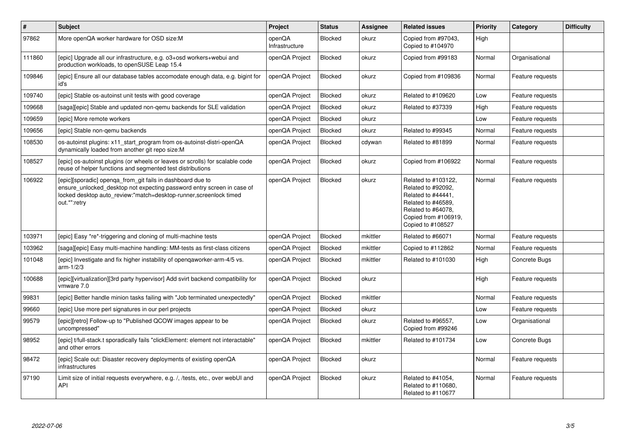| $\vert$ # | <b>Subject</b>                                                                                                                                                                                                             | Project                  | <b>Status</b>  | Assignee | <b>Related issues</b>                                                                                                                                    | <b>Priority</b> | Category         | <b>Difficulty</b> |
|-----------|----------------------------------------------------------------------------------------------------------------------------------------------------------------------------------------------------------------------------|--------------------------|----------------|----------|----------------------------------------------------------------------------------------------------------------------------------------------------------|-----------------|------------------|-------------------|
| 97862     | More openQA worker hardware for OSD size:M                                                                                                                                                                                 | openQA<br>Infrastructure | <b>Blocked</b> | okurz    | Copied from #97043.<br>Copied to #104970                                                                                                                 | High            |                  |                   |
| 111860    | [epic] Upgrade all our infrastructure, e.g. o3+osd workers+webui and<br>production workloads, to openSUSE Leap 15.4                                                                                                        | openQA Project           | <b>Blocked</b> | okurz    | Copied from #99183                                                                                                                                       | Normal          | Organisational   |                   |
| 109846    | [epic] Ensure all our database tables accomodate enough data, e.g. bigint for<br>id's                                                                                                                                      | openQA Project           | Blocked        | okurz    | Copied from #109836                                                                                                                                      | Normal          | Feature requests |                   |
| 109740    | [epic] Stable os-autoinst unit tests with good coverage                                                                                                                                                                    | openQA Project           | Blocked        | okurz    | Related to #109620                                                                                                                                       | Low             | Feature requests |                   |
| 109668    | [saga][epic] Stable and updated non-qemu backends for SLE validation                                                                                                                                                       | openQA Project           | Blocked        | okurz    | Related to #37339                                                                                                                                        | High            | Feature requests |                   |
| 109659    | [epic] More remote workers                                                                                                                                                                                                 | openQA Project           | Blocked        | okurz    |                                                                                                                                                          | Low             | Feature requests |                   |
| 109656    | [epic] Stable non-gemu backends                                                                                                                                                                                            | openQA Project           | Blocked        | okurz    | Related to #99345                                                                                                                                        | Normal          | Feature requests |                   |
| 108530    | os-autoinst plugins: x11_start_program from os-autoinst-distri-openQA<br>dynamically loaded from another git repo size:M                                                                                                   | openQA Project           | <b>Blocked</b> | cdywan   | Related to #81899                                                                                                                                        | Normal          | Feature requests |                   |
| 108527    | [epic] os-autoinst plugins (or wheels or leaves or scrolls) for scalable code<br>reuse of helper functions and segmented test distributions                                                                                | openQA Project           | Blocked        | okurz    | Copied from #106922                                                                                                                                      | Normal          | Feature requests |                   |
| 106922    | [epic][sporadic] openga_from_git fails in dashboard due to<br>ensure unlocked desktop not expecting password entry screen in case of<br>locked desktop auto review:"match=desktop-runner, screenlock timed<br>out.*":retry | openQA Project           | Blocked        | okurz    | Related to #103122,<br>Related to #92092,<br>Related to #44441,<br>Related to #46589.<br>Related to #64078.<br>Copied from #106919,<br>Copied to #108527 | Normal          | Feature requests |                   |
| 103971    | [epic] Easy *re*-triggering and cloning of multi-machine tests                                                                                                                                                             | openQA Project           | <b>Blocked</b> | mkittler | Related to #66071                                                                                                                                        | Normal          | Feature requests |                   |
| 103962    | [saga][epic] Easy multi-machine handling: MM-tests as first-class citizens                                                                                                                                                 | openQA Project           | <b>Blocked</b> | mkittler | Copied to #112862                                                                                                                                        | Normal          | Feature requests |                   |
| 101048    | [epic] Investigate and fix higher instability of opengaworker-arm-4/5 vs.<br>$arm-1/2/3$                                                                                                                                   | openQA Project           | <b>Blocked</b> | mkittler | Related to #101030                                                                                                                                       | High            | Concrete Bugs    |                   |
| 100688    | [epic][virtualization][3rd party hypervisor] Add svirt backend compatibility for<br>vmware 7.0                                                                                                                             | openQA Project           | <b>Blocked</b> | okurz    |                                                                                                                                                          | High            | Feature requests |                   |
| 99831     | [epic] Better handle minion tasks failing with "Job terminated unexpectedly"                                                                                                                                               | openQA Project           | Blocked        | mkittler |                                                                                                                                                          | Normal          | Feature requests |                   |
| 99660     | [epic] Use more perl signatures in our perl projects                                                                                                                                                                       | openQA Project           | <b>Blocked</b> | okurz    |                                                                                                                                                          | Low             | Feature requests |                   |
| 99579     | [epic][retro] Follow-up to "Published QCOW images appear to be<br>uncompressed"                                                                                                                                            | openQA Project           | <b>Blocked</b> | okurz    | Related to #96557,<br>Copied from #99246                                                                                                                 | Low             | Organisational   |                   |
| 98952     | [epic] t/full-stack.t sporadically fails "clickElement: element not interactable"<br>and other errors                                                                                                                      | openQA Project           | Blocked        | mkittler | Related to #101734                                                                                                                                       | Low             | Concrete Bugs    |                   |
| 98472     | [epic] Scale out: Disaster recovery deployments of existing openQA<br>infrastructures                                                                                                                                      | openQA Project           | Blocked        | okurz    |                                                                                                                                                          | Normal          | Feature requests |                   |
| 97190     | Limit size of initial requests everywhere, e.g. /, /tests, etc., over webUI and<br>API                                                                                                                                     | openQA Project           | Blocked        | okurz    | Related to #41054,<br>Related to #110680,<br>Related to #110677                                                                                          | Normal          | Feature requests |                   |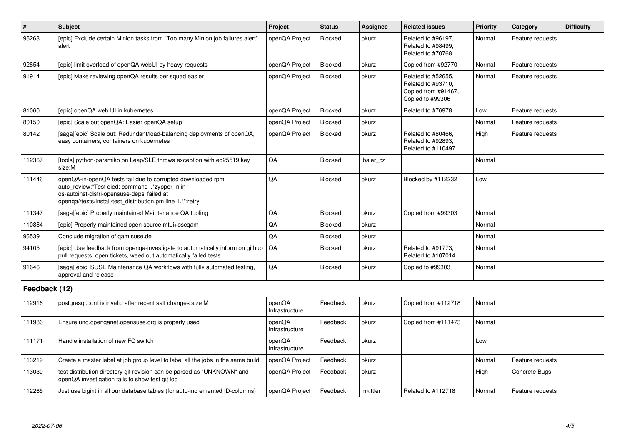| $\vert$ #     | <b>Subject</b>                                                                                                                                                                                                              | Project                  | <b>Status</b>  | <b>Assignee</b> | <b>Related issues</b>                                                               | Priority | Category         | <b>Difficulty</b> |
|---------------|-----------------------------------------------------------------------------------------------------------------------------------------------------------------------------------------------------------------------------|--------------------------|----------------|-----------------|-------------------------------------------------------------------------------------|----------|------------------|-------------------|
| 96263         | [epic] Exclude certain Minion tasks from "Too many Minion job failures alert"<br>alert                                                                                                                                      | openQA Project           | Blocked        | okurz           | Related to #96197.<br>Related to #98499,<br>Related to #70768                       | Normal   | Feature requests |                   |
| 92854         | [epic] limit overload of openQA webUI by heavy requests                                                                                                                                                                     | openQA Project           | Blocked        | okurz           | Copied from #92770                                                                  | Normal   | Feature requests |                   |
| 91914         | [epic] Make reviewing openQA results per squad easier                                                                                                                                                                       | openQA Project           | Blocked        | okurz           | Related to #52655,<br>Related to #93710,<br>Copied from #91467,<br>Copied to #99306 | Normal   | Feature requests |                   |
| 81060         | [epic] openQA web UI in kubernetes                                                                                                                                                                                          | openQA Project           | Blocked        | okurz           | Related to #76978                                                                   | Low      | Feature requests |                   |
| 80150         | [epic] Scale out openQA: Easier openQA setup                                                                                                                                                                                | openQA Project           | Blocked        | okurz           |                                                                                     | Normal   | Feature requests |                   |
| 80142         | [saga][epic] Scale out: Redundant/load-balancing deployments of openQA,<br>easy containers, containers on kubernetes                                                                                                        | openQA Project           | Blocked        | okurz           | Related to #80466,<br>Related to #92893,<br>Related to #110497                      | High     | Feature requests |                   |
| 112367        | [tools] python-paramiko on Leap/SLE throws exception with ed25519 key<br>size:M                                                                                                                                             | QA                       | <b>Blocked</b> | jbaier cz       |                                                                                     | Normal   |                  |                   |
| 111446        | openQA-in-openQA tests fail due to corrupted downloaded rpm<br>auto review:"Test died: command '.*zypper -n in<br>os-autoinst-distri-opensuse-deps' failed at<br>openqa//tests/install/test_distribution.pm line 1.*":retry | QA                       | Blocked        | okurz           | Blocked by #112232                                                                  | Low      |                  |                   |
| 111347        | [saga][epic] Properly maintained Maintenance QA tooling                                                                                                                                                                     | QA                       | Blocked        | okurz           | Copied from #99303                                                                  | Normal   |                  |                   |
| 110884        | [epic] Properly maintained open source mtui+oscgam                                                                                                                                                                          | QA                       | Blocked        | okurz           |                                                                                     | Normal   |                  |                   |
| 96539         | Conclude migration of gam.suse.de                                                                                                                                                                                           | QA                       | Blocked        | okurz           |                                                                                     | Normal   |                  |                   |
| 94105         | [epic] Use feedback from openga-investigate to automatically inform on github<br>pull requests, open tickets, weed out automatically failed tests                                                                           | QA                       | Blocked        | okurz           | Related to #91773,<br>Related to #107014                                            | Normal   |                  |                   |
| 91646         | [saga][epic] SUSE Maintenance QA workflows with fully automated testing,<br>approval and release                                                                                                                            | QA                       | Blocked        | okurz           | Copied to #99303                                                                    | Normal   |                  |                   |
| Feedback (12) |                                                                                                                                                                                                                             |                          |                |                 |                                                                                     |          |                  |                   |
| 112916        | postgresgl.conf is invalid after recent salt changes size:M                                                                                                                                                                 | openQA<br>Infrastructure | Feedback       | okurz           | Copied from #112718                                                                 | Normal   |                  |                   |
| 111986        | Ensure uno.openqanet.opensuse.org is properly used                                                                                                                                                                          | openQA<br>Infrastructure | Feedback       | okurz           | Copied from #111473                                                                 | Normal   |                  |                   |
| 111171        | Handle installation of new FC switch                                                                                                                                                                                        | openQA<br>Infrastructure | Feedback       | okurz           |                                                                                     | Low      |                  |                   |
| 113219        | Create a master label at job group level to label all the jobs in the same build                                                                                                                                            | openQA Project           | Feedback       | okurz           |                                                                                     | Normal   | Feature requests |                   |
| 113030        | test distribution directory git revision can be parsed as "UNKNOWN" and<br>openQA investigation fails to show test git log                                                                                                  | openQA Project           | Feedback       | okurz           |                                                                                     | High     | Concrete Bugs    |                   |
| 112265        | Just use bigint in all our database tables (for auto-incremented ID-columns)                                                                                                                                                | openQA Project           | Feedback       | mkittler        | Related to #112718                                                                  | Normal   | Feature requests |                   |